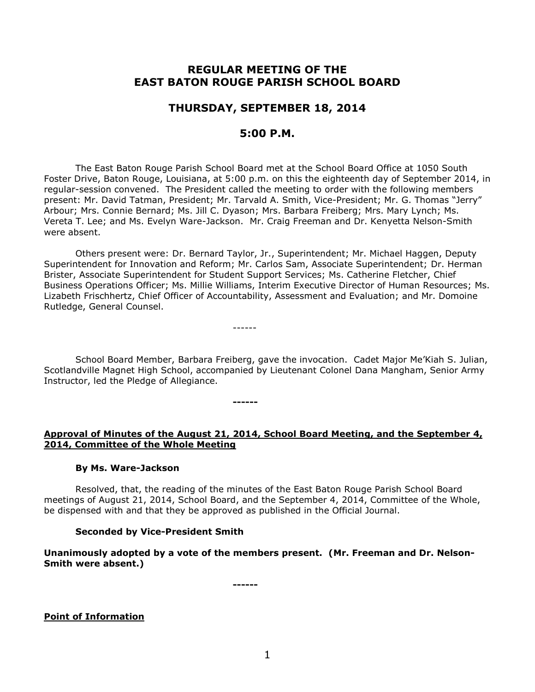# **REGULAR MEETING OF THE EAST BATON ROUGE PARISH SCHOOL BOARD**

# **THURSDAY, SEPTEMBER 18, 2014**

# **5:00 P.M.**

The East Baton Rouge Parish School Board met at the School Board Office at 1050 South Foster Drive, Baton Rouge, Louisiana, at 5:00 p.m. on this the eighteenth day of September 2014, in regular-session convened. The President called the meeting to order with the following members present: Mr. David Tatman, President; Mr. Tarvald A. Smith, Vice-President; Mr. G. Thomas "Jerry" Arbour; Mrs. Connie Bernard; Ms. Jill C. Dyason; Mrs. Barbara Freiberg; Mrs. Mary Lynch; Ms. Vereta T. Lee; and Ms. Evelyn Ware-Jackson. Mr. Craig Freeman and Dr. Kenyetta Nelson-Smith were absent.

Others present were: Dr. Bernard Taylor, Jr., Superintendent; Mr. Michael Haggen, Deputy Superintendent for Innovation and Reform; Mr. Carlos Sam, Associate Superintendent; Dr. Herman Brister, Associate Superintendent for Student Support Services; Ms. Catherine Fletcher, Chief Business Operations Officer; Ms. Millie Williams, Interim Executive Director of Human Resources; Ms. Lizabeth Frischhertz, Chief Officer of Accountability, Assessment and Evaluation; and Mr. Domoine Rutledge, General Counsel.

------

**------**

School Board Member, Barbara Freiberg, gave the invocation. Cadet Major Me'Kiah S. Julian, Scotlandville Magnet High School, accompanied by Lieutenant Colonel Dana Mangham, Senior Army Instructor, led the Pledge of Allegiance.

# **Approval of Minutes of the August 21, 2014, School Board Meeting, and the September 4, 2014, Committee of the Whole Meeting**

## **By Ms. Ware-Jackson**

Resolved, that, the reading of the minutes of the East Baton Rouge Parish School Board meetings of August 21, 2014, School Board, and the September 4, 2014, Committee of the Whole, be dispensed with and that they be approved as published in the Official Journal.

# **Seconded by Vice-President Smith**

**Unanimously adopted by a vote of the members present. (Mr. Freeman and Dr. Nelson-Smith were absent.)**

**------**

**Point of Information**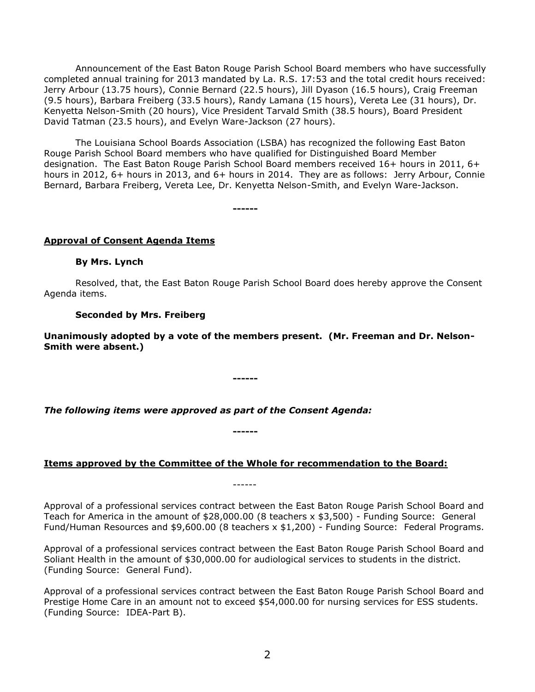Announcement of the East Baton Rouge Parish School Board members who have successfully completed annual training for 2013 mandated by La. R.S. 17:53 and the total credit hours received: Jerry Arbour (13.75 hours), Connie Bernard (22.5 hours), Jill Dyason (16.5 hours), Craig Freeman (9.5 hours), Barbara Freiberg (33.5 hours), Randy Lamana (15 hours), Vereta Lee (31 hours), Dr. Kenyetta Nelson-Smith (20 hours), Vice President Tarvald Smith (38.5 hours), Board President David Tatman (23.5 hours), and Evelyn Ware-Jackson (27 hours).

The Louisiana School Boards Association (LSBA) has recognized the following East Baton Rouge Parish School Board members who have qualified for Distinguished Board Member designation. The East Baton Rouge Parish School Board members received 16+ hours in 2011, 6+ hours in 2012, 6+ hours in 2013, and 6+ hours in 2014. They are as follows: Jerry Arbour, Connie Bernard, Barbara Freiberg, Vereta Lee, Dr. Kenyetta Nelson-Smith, and Evelyn Ware-Jackson.

**------**

## **Approval of Consent Agenda Items**

## **By Mrs. Lynch**

Resolved, that, the East Baton Rouge Parish School Board does hereby approve the Consent Agenda items.

## **Seconded by Mrs. Freiberg**

**Unanimously adopted by a vote of the members present. (Mr. Freeman and Dr. Nelson-Smith were absent.)**

**------**

*The following items were approved as part of the Consent Agenda:*

**------**

# **Items approved by the Committee of the Whole for recommendation to the Board:**

------

Approval of a professional services contract between the East Baton Rouge Parish School Board and Teach for America in the amount of \$28,000.00 (8 teachers x \$3,500) - Funding Source: General Fund/Human Resources and \$9,600.00 (8 teachers x \$1,200) - Funding Source: Federal Programs.

Approval of a professional services contract between the East Baton Rouge Parish School Board and Soliant Health in the amount of \$30,000.00 for audiological services to students in the district. (Funding Source: General Fund).

Approval of a professional services contract between the East Baton Rouge Parish School Board and Prestige Home Care in an amount not to exceed \$54,000.00 for nursing services for ESS students. (Funding Source: IDEA-Part B).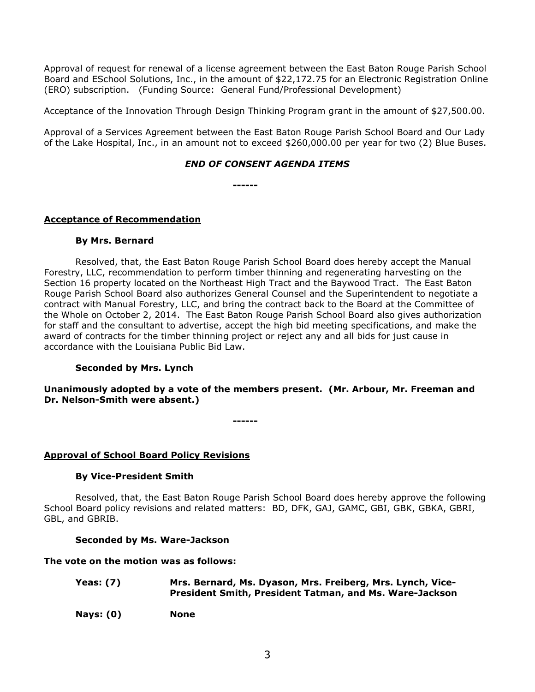Approval of request for renewal of a license agreement between the East Baton Rouge Parish School Board and ESchool Solutions, Inc., in the amount of \$22,172.75 for an Electronic Registration Online (ERO) subscription. (Funding Source: General Fund/Professional Development)

Acceptance of the Innovation Through Design Thinking Program grant in the amount of \$27,500.00.

Approval of a Services Agreement between the East Baton Rouge Parish School Board and Our Lady of the Lake Hospital, Inc., in an amount not to exceed \$260,000.00 per year for two (2) Blue Buses.

# *END OF CONSENT AGENDA ITEMS*

**------**

# **Acceptance of Recommendation**

## **By Mrs. Bernard**

Resolved, that, the East Baton Rouge Parish School Board does hereby accept the Manual Forestry, LLC, recommendation to perform timber thinning and regenerating harvesting on the Section 16 property located on the Northeast High Tract and the Baywood Tract. The East Baton Rouge Parish School Board also authorizes General Counsel and the Superintendent to negotiate a contract with Manual Forestry, LLC, and bring the contract back to the Board at the Committee of the Whole on October 2, 2014. The East Baton Rouge Parish School Board also gives authorization for staff and the consultant to advertise, accept the high bid meeting specifications, and make the award of contracts for the timber thinning project or reject any and all bids for just cause in accordance with the Louisiana Public Bid Law.

# **Seconded by Mrs. Lynch**

**Unanimously adopted by a vote of the members present. (Mr. Arbour, Mr. Freeman and Dr. Nelson-Smith were absent.)**

**------**

## **Approval of School Board Policy Revisions**

## **By Vice-President Smith**

Resolved, that, the East Baton Rouge Parish School Board does hereby approve the following School Board policy revisions and related matters: BD, DFK, GAJ, GAMC, GBI, GBK, GBKA, GBRI, GBL, and GBRIB.

## **Seconded by Ms. Ware-Jackson**

## **The vote on the motion was as follows:**

- **Yeas: (7) Mrs. Bernard, Ms. Dyason, Mrs. Freiberg, Mrs. Lynch, Vice-President Smith, President Tatman, and Ms. Ware-Jackson**
- **Nays: (0) None**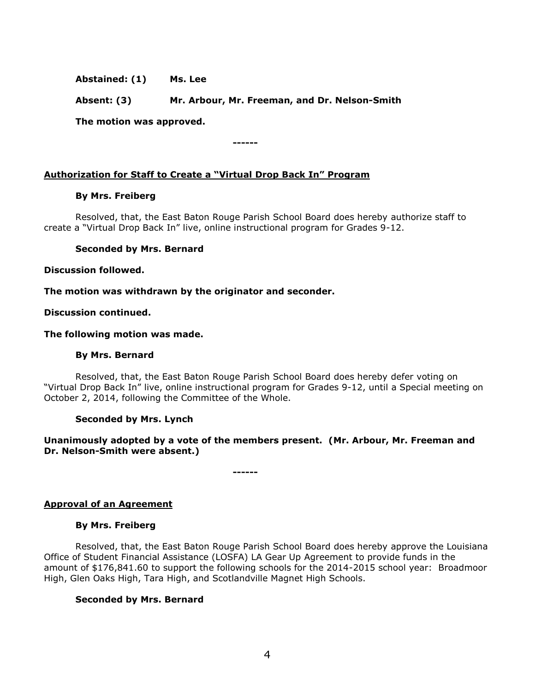**Abstained: (1) Ms. Lee**

**Absent: (3) Mr. Arbour, Mr. Freeman, and Dr. Nelson-Smith**

**------**

**The motion was approved.**

**Authorization for Staff to Create a "Virtual Drop Back In" Program**

#### **By Mrs. Freiberg**

Resolved, that, the East Baton Rouge Parish School Board does hereby authorize staff to create a "Virtual Drop Back In" live, online instructional program for Grades 9-12.

#### **Seconded by Mrs. Bernard**

**Discussion followed.**

**The motion was withdrawn by the originator and seconder.**

**Discussion continued.**

#### **The following motion was made.**

#### **By Mrs. Bernard**

Resolved, that, the East Baton Rouge Parish School Board does hereby defer voting on "Virtual Drop Back In" live, online instructional program for Grades 9-12, until a Special meeting on October 2, 2014, following the Committee of the Whole.

#### **Seconded by Mrs. Lynch**

# **Unanimously adopted by a vote of the members present. (Mr. Arbour, Mr. Freeman and Dr. Nelson-Smith were absent.)**

**------**

# **Approval of an Agreement**

#### **By Mrs. Freiberg**

Resolved, that, the East Baton Rouge Parish School Board does hereby approve the Louisiana Office of Student Financial Assistance (LOSFA) LA Gear Up Agreement to provide funds in the amount of \$176,841.60 to support the following schools for the 2014-2015 school year: Broadmoor High, Glen Oaks High, Tara High, and Scotlandville Magnet High Schools.

## **Seconded by Mrs. Bernard**